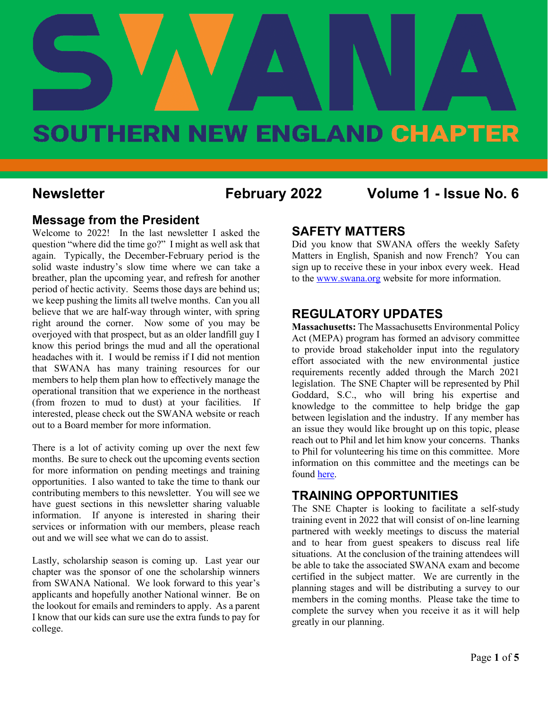

**Newsletter February 2022 Volume 1 - Issue No. 6**

#### **Message from the President**

Welcome to 2022! In the last newsletter I asked the question "where did the time go?" I might as well ask that again. Typically, the December-February period is the solid waste industry's slow time where we can take a breather, plan the upcoming year, and refresh for another period of hectic activity. Seems those days are behind us; we keep pushing the limits all twelve months. Can you all believe that we are half-way through winter, with spring right around the corner. Now some of you may be overjoyed with that prospect, but as an older landfill guy I know this period brings the mud and all the operational headaches with it. I would be remiss if I did not mention that SWANA has many training resources for our members to help them plan how to effectively manage the operational transition that we experience in the northeast (from frozen to mud to dust) at your facilities. If interested, please check out the SWANA website or reach out to a Board member for more information.

There is a lot of activity coming up over the next few months. Be sure to check out the upcoming events section for more information on pending meetings and training opportunities. I also wanted to take the time to thank our contributing members to this newsletter. You will see we have guest sections in this newsletter sharing valuable information. If anyone is interested in sharing their services or information with our members, please reach out and we will see what we can do to assist.

Lastly, scholarship season is coming up. Last year our chapter was the sponsor of one the scholarship winners from SWANA National. We look forward to this year's applicants and hopefully another National winner. Be on the lookout for emails and reminders to apply. As a parent I know that our kids can sure use the extra funds to pay for college.

### **SAFETY MATTERS**

Did you know that SWANA offers the weekly Safety Matters in English, Spanish and now French? You can sign up to receive these in your inbox every week. Head to th[e www.swana.org](http://www.swana.org/) website for more information.

### **REGULATORY UPDATES**

**Massachusetts:** The Massachusetts Environmental Policy Act (MEPA) program has formed an advisory committee to provide broad stakeholder input into the regulatory effort associated with the new environmental justice requirements recently added through the March 2021 legislation. The SNE Chapter will be represented by Phil Goddard, S.C., who will bring his expertise and knowledge to the committee to help bridge the gap between legislation and the industry. If any member has an issue they would like brought up on this topic, please reach out to Phil and let him know your concerns. Thanks to Phil for volunteering his time on this committee. More information on this committee and the meetings can be foun[d here.](https://www.mass.gov/info-details/mepa-advisory-committee)

### **TRAINING OPPORTUNITIES**

The SNE Chapter is looking to facilitate a self-study training event in 2022 that will consist of on-line learning partnered with weekly meetings to discuss the material and to hear from guest speakers to discuss real life situations. At the conclusion of the training attendees will be able to take the associated SWANA exam and become certified in the subject matter. We are currently in the planning stages and will be distributing a survey to our members in the coming months. Please take the time to complete the survey when you receive it as it will help greatly in our planning.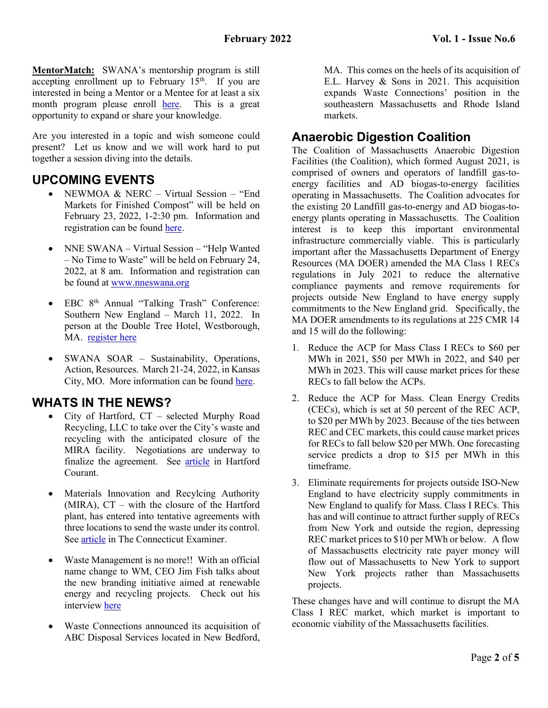**MentorMatch:** SWANA's mentorship program is still accepting enrollment up to February  $15<sup>th</sup>$ . If you are interested in being a Mentor or a Mentee for at least a six month program please enroll [here.](https://swana.org/community/mentormatch?utm_campaign=MentorMatch&utm_medium=email&_hsmi=202225813&_hsenc=p2ANqtz-9fTK3QMu9sjkgm-qil7UJhpSwv9QGaKryU94usMT0MfmAiP9dbOoVSOWMwdnrtsEjANkm0AtI6uZaQR3RR-T5_L4S6yA&utm_content=202225813&utm_source=hs_email) This is a great opportunity to expand or share your knowledge.

Are you interested in a topic and wish someone could present? Let us know and we will work hard to put together a session diving into the details.

### **UPCOMING EVENTS**

- NEWMOA & NERC Virtual Session "End" Markets for Finished Compost" will be held on February 23, 2022, 1-2:30 pm. Information and registration can be found [here.](https://register.gotowebinar.com/register/8245067692714994704)
- NNE SWANA Virtual Session "Help Wanted – No Time to Waste" will be held on February 24, 2022, at 8 am. Information and registration can be found at [www.nneswana.org](http://www.nneswana.org/)
- EBC 8<sup>th</sup> Annual "Talking Trash" Conference: Southern New England – March 11, 2022. In person at the Double Tree Hotel, Westborough, MA. [register here](https://ebcne.org/event/ebc-8th-annual-talking-trash-conference-southern-new-england-our-regions-solid-waste-market-at-a-crossroad/#conference-details)
- SWANA SOAR Sustainability, Operations, Action, Resources. March 21-24, 2022, in Kansas City, MO. More information can be found [here.](https://swana.swoogo.com/soar2022)

### **WHATS IN THE NEWS?**

- City of Hartford, CT selected Murphy Road Recycling, LLC to take over the City's waste and recycling with the anticipated closure of the MIRA facility. Negotiations are underway to finalize the agreement. See [article](https://www.courant.com/community/hartford/hc-news-hartford-waste-disposal-20211214-7xjhmbpzyzf35j4eltzbzxvmfa-story.html) in Hartford Courant.
- Materials Innovation and Recylcing Authority (MIRA), CT – with the closure of the Hartford plant, has entered into tentative agreements with three locations to send the waste under its control. See [article](https://ctexaminer.com/2021/12/20/stopgap-solution-found-to-replace-regions-trash-burning-plant-in-south-hartford/) in The Connecticut Examiner.
- Waste Management is no more!! With an official name change to WM, CEO Jim Fish talks about the new branding initiative aimed at renewable energy and recycling projects. Check out his interview [here](https://news.yahoo.com/wm-ceo-details-branding-sustainability-190550780.html)
- Waste Connections announced its acquisition of ABC Disposal Services located in New Bedford,

MA. This comes on the heels of its acquisition of E.L. Harvey & Sons in 2021. This acquisition expands Waste Connections' position in the southeastern Massachusetts and Rhode Island markets.

### **Anaerobic Digestion Coalition**

The Coalition of Massachusetts Anaerobic Digestion Facilities (the Coalition), which formed August 2021, is comprised of owners and operators of landfill gas-toenergy facilities and AD biogas-to-energy facilities operating in Massachusetts. The Coalition advocates for the existing 20 Landfill gas-to-energy and AD biogas-toenergy plants operating in Massachusetts. The Coalition interest is to keep this important environmental infrastructure commercially viable. This is particularly important after the Massachusetts Department of Energy Resources (MA DOER) amended the MA Class 1 RECs regulations in July 2021 to reduce the alternative compliance payments and remove requirements for projects outside New England to have energy supply commitments to the New England grid. Specifically, the MA DOER amendments to its regulations at 225 CMR 14 and 15 will do the following:

- 1. Reduce the ACP for Mass Class I RECs to \$60 per MWh in 2021, \$50 per MWh in 2022, and \$40 per MWh in 2023. This will cause market prices for these RECs to fall below the ACPs.
- 2. Reduce the ACP for Mass. Clean Energy Credits (CECs), which is set at 50 percent of the REC ACP, to \$20 per MWh by 2023. Because of the ties between REC and CEC markets, this could cause market prices for RECs to fall below \$20 per MWh. One forecasting service predicts a drop to \$15 per MWh in this timeframe.
- 3. Eliminate requirements for projects outside ISO-New England to have electricity supply commitments in New England to qualify for Mass. Class I RECs. This has and will continue to attract further supply of RECs from New York and outside the region, depressing REC market prices to \$10 per MWh or below. A flow of Massachusetts electricity rate payer money will flow out of Massachusetts to New York to support New York projects rather than Massachusetts projects.

These changes have and will continue to disrupt the MA Class I REC market, which market is important to economic viability of the Massachusetts facilities.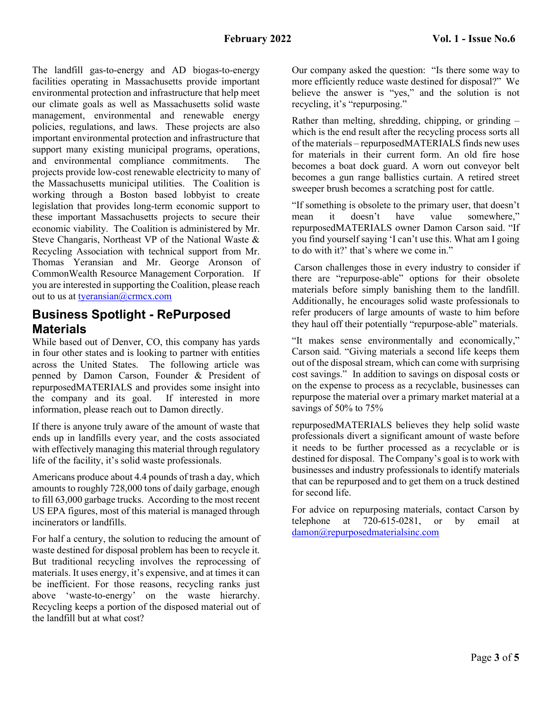The landfill gas-to-energy and AD biogas-to-energy facilities operating in Massachusetts provide important environmental protection and infrastructure that help meet our climate goals as well as Massachusetts solid waste management, environmental and renewable energy policies, regulations, and laws. These projects are also important environmental protection and infrastructure that support many existing municipal programs, operations, and environmental compliance commitments. The projects provide low-cost renewable electricity to many of the Massachusetts municipal utilities. The Coalition is working through a Boston based lobbyist to create legislation that provides long-term economic support to these important Massachusetts projects to secure their economic viability. The Coalition is administered by Mr. Steve Changaris, Northeast VP of the National Waste & Recycling Association with technical support from Mr. Thomas Yeransian and Mr. George Aronson of CommonWealth Resource Management Corporation. If you are interested in supporting the Coalition, please reach out to us at [tyeransian@crmcx.com](mailto:tyeransian@crmcx.com)

### **Business Spotlight - RePurposed Materials**

While based out of Denver, CO, this company has yards in four other states and is looking to partner with entities across the United States. The following article was penned by Damon Carson, Founder & President of repurposedMATERIALS and provides some insight into the company and its goal. If interested in more information, please reach out to Damon directly.

If there is anyone truly aware of the amount of waste that ends up in landfills every year, and the costs associated with effectively managing this material through regulatory life of the facility, it's solid waste professionals.

Americans produce about 4.4 pounds of trash a day, which amounts to roughly 728,000 tons of daily garbage, enough to fill 63,000 garbage trucks. According to the most recent US EPA figures, most of this material is managed through incinerators or landfills.

For half a century, the solution to reducing the amount of waste destined for disposal problem has been to recycle it. But traditional recycling involves the reprocessing of materials. It uses energy, it's expensive, and at times it can be inefficient. For those reasons, recycling ranks just above 'waste-to-energy' on the waste hierarchy. Recycling keeps a portion of the disposed material out of the landfill but at what cost?

Our company asked the question: "Is there some way to more efficiently reduce waste destined for disposal?" We believe the answer is "yes," and the solution is not recycling, it's "repurposing."

Rather than melting, shredding, chipping, or grinding – which is the end result after the recycling process sorts all of the materials – repurposedMATERIALS finds new uses for materials in their current form. An old fire hose becomes a boat dock guard. A worn out conveyor belt becomes a gun range ballistics curtain. A retired street sweeper brush becomes a scratching post for cattle.

"If something is obsolete to the primary user, that doesn't mean it doesn't have value somewhere," repurposedMATERIALS owner Damon Carson said. "If you find yourself saying 'I can't use this. What am I going to do with it?' that's where we come in."

Carson challenges those in every industry to consider if there are "repurpose-able" options for their obsolete materials before simply banishing them to the landfill. Additionally, he encourages solid waste professionals to refer producers of large amounts of waste to him before they haul off their potentially "repurpose-able" materials.

"It makes sense environmentally and economically," Carson said. "Giving materials a second life keeps them out of the disposal stream, which can come with surprising cost savings." In addition to savings on disposal costs or on the expense to process as a recyclable, businesses can repurpose the material over a primary market material at a savings of 50% to 75%

repurposedMATERIALS believes they help solid waste professionals divert a significant amount of waste before it needs to be further processed as a recyclable or is destined for disposal. The Company's goal is to work with businesses and industry professionals to identify materials that can be repurposed and to get them on a truck destined for second life.

For advice on repurposing materials, contact Carson by telephone at 720-615-0281, or by email at [damon@repurposedmaterialsinc.com](mailto:damon@repurposedmaterialsinc.com)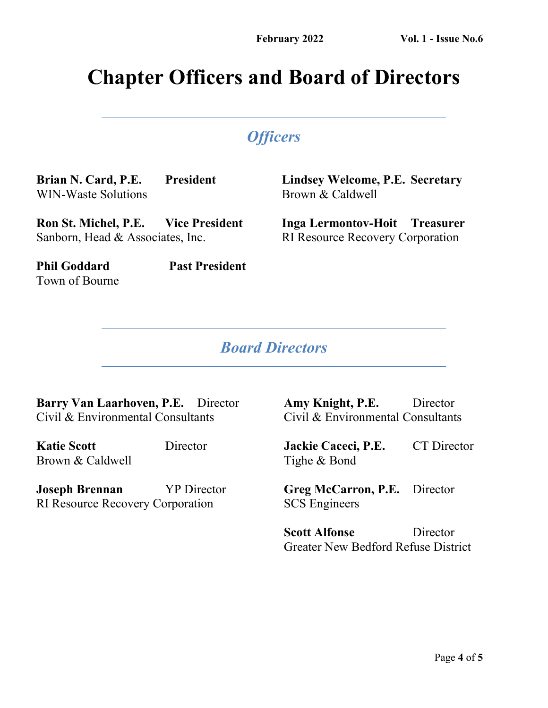# **Chapter Officers and Board of Directors**

# *Officers*

**Brian N. Card, P.E. President** WIN-Waste Solutions

**Lindsey Welcome, P.E. Secretary** Brown & Caldwell

**Inga Lermontov-Hoit Treasurer** RI Resource Recovery Corporation

**Ron St. Michel, P.E. Vice President** Sanborn, Head & Associates, Inc.

**Phil Goddard Past President** Town of Bourne

# *Board Directors*

**Barry Van Laarhoven, P.E.** Director Civil & Environmental Consultants

**Katie Scott** Director Brown & Caldwell

**Joseph Brennan** YP Director RI Resource Recovery Corporation

**Amy Knight, P.E.** Director Civil & Environmental Consultants

**Jackie Caceci, P.E.** CT Director Tighe & Bond

**Greg McCarron, P.E.** Director SCS Engineers

**Scott Alfonse** Director Greater New Bedford Refuse District